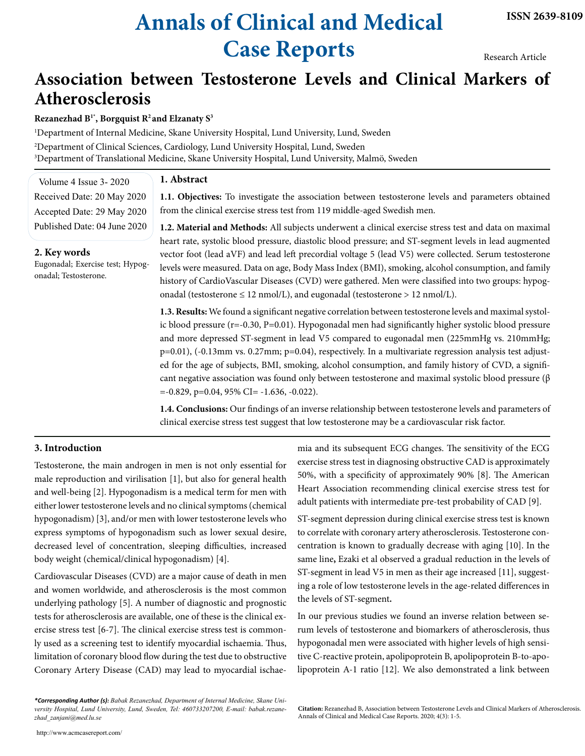# **Annals of Clinical and Medical Case Reports**

Research Article

# **Association between Testosterone Levels and Clinical Markers of Atherosclerosis**

**Rezanezhad B1\*, Borgquist R2 and Elzanaty S3**

1 Department of Internal Medicine, Skane University Hospital, Lund University, Lund, Sweden 2 Department of Clinical Sciences, Cardiology, Lund University Hospital, Lund, Sweden 3 Department of Translational Medicine, Skane University Hospital, Lund University, Malmö, Sweden

### **1. Abstract**

Volume 4 Issue 3- 2020 Received Date: 20 May 2020 Accepted Date: 29 May 2020 Published Date: 04 June 2020

#### **2. Key words**

Eugonadal; Exercise test; Hypogonadal; Testosterone.

**1.1. Objectives:** To investigate the association between testosterone levels and parameters obtained from the clinical exercise stress test from 119 middle-aged Swedish men.

**1.2. Material and Methods:** All subjects underwent a clinical exercise stress test and data on maximal heart rate, systolic blood pressure, diastolic blood pressure; and ST-segment levels in lead augmented vector foot (lead aVF) and lead left precordial voltage 5 (lead V5) were collected. Serum testosterone levels were measured. Data on age, Body Mass Index (BMI), smoking, alcohol consumption, and family history of CardioVascular Diseases (CVD) were gathered. Men were classified into two groups: hypogonadal (testosterone  $\leq 12$  nmol/L), and eugonadal (testosterone > 12 nmol/L).

**1.3. Results:** We found a significant negative correlation between testosterone levels and maximal systolic blood pressure (r=-0.30, P=0.01). Hypogonadal men had significantly higher systolic blood pressure and more depressed ST-segment in lead V5 compared to eugonadal men (225mmHg vs. 210mmHg; p=0.01), (-0.13mm vs. 0.27mm; p=0.04), respectively. In a multivariate regression analysis test adjusted for the age of subjects, BMI, smoking, alcohol consumption, and family history of CVD, a significant negative association was found only between testosterone and maximal systolic blood pressure (β  $=-0.829$ ,  $p=0.04$ ,  $95\%$  CI $= -1.636$ ,  $-0.022$ ).

**1.4. Conclusions:** Our findings of an inverse relationship between testosterone levels and parameters of clinical exercise stress test suggest that low testosterone may be a cardiovascular risk factor.

### **3. Introduction**

Testosterone, the main androgen in men is not only essential for male reproduction and virilisation [1], but also for general health and well-being [2]. Hypogonadism is a medical term for men with either lower testosterone levels and no clinical symptoms (chemical hypogonadism) [3], and/or men with lower testosterone levels who express symptoms of hypogonadism such as lower sexual desire, decreased level of concentration, sleeping difficulties, increased body weight (chemical/clinical hypogonadism) [4].

Cardiovascular Diseases (CVD) are a major cause of death in men and women worldwide, and atherosclerosis is the most common underlying pathology [5]. A number of diagnostic and prognostic tests for atherosclerosis are available, one of these is the clinical exercise stress test [6-7]. The clinical exercise stress test is commonly used as a screening test to identify myocardial ischaemia. Thus, limitation of coronary blood flow during the test due to obstructive Coronary Artery Disease (CAD) may lead to myocardial ischae-

*\*Corresponding Author (s): Babak Rezanezhad, Department of Internal Medicine, Skane University Hospital, Lund University, Lund, Sweden, Tel: 460733207200, E-mail: [babak.rezane](mailto:babak.rezanezhad_zanjani@med.lu.se)[zhad\\_zanjani@med.lu.se](mailto:babak.rezanezhad_zanjani@med.lu.se)*

http://www.acmcasereport.com/

mia and its subsequent ECG changes. The sensitivity of the ECG exercise stress test in diagnosing obstructive CAD is approximately 50%, with a specificity of approximately 90% [8]. The American Heart Association recommending clinical exercise stress test for adult patients with intermediate pre-test probability of CAD [9].

ST-segment depression during clinical exercise stress test is known to correlate with coronary artery atherosclerosis. Testosterone concentration is known to gradually decrease with aging [10]. In the same line**,** Ezaki et al observed a gradual reduction in the levels of ST-segment in lead V5 in men as their age increased [11], suggesting a role of low testosterone levels in the age-related differences in the levels of ST-segment**.**

In our previous studies we found an inverse relation between serum levels of testosterone and biomarkers of atherosclerosis, thus hypogonadal men were associated with higher levels of high sensitive C-reactive protein, apolipoprotein B, apolipoprotein B-to-apolipoprotein A-1 ratio [12]. We also demonstrated a link between

**Citation:** Rezanezhad B, Association between Testosterone Levels and Clinical Markers of Atherosclerosis. Annals of Clinical and Medical Case Reports. 2020; 4(3): 1-5.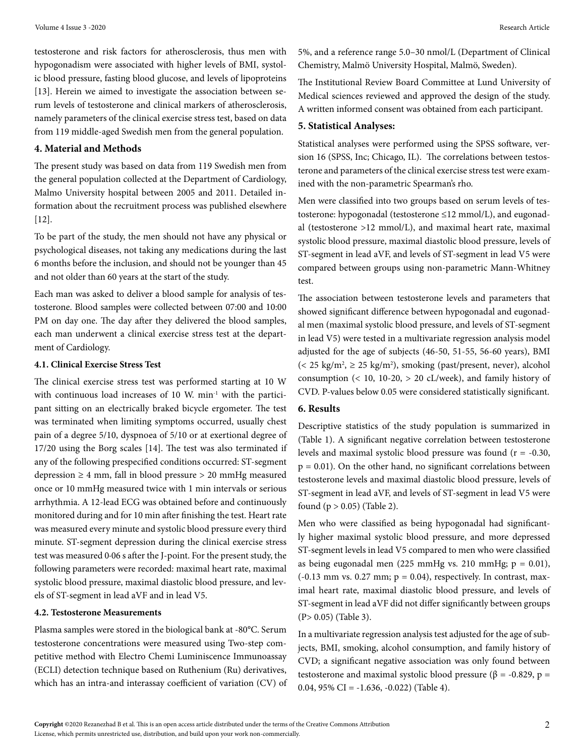testosterone and risk factors for atherosclerosis, thus men with hypogonadism were associated with higher levels of BMI, systolic blood pressure, fasting blood glucose, and levels of lipoproteins [13]. Herein we aimed to investigate the association between serum levels of testosterone and clinical markers of atherosclerosis, namely parameters of the clinical exercise stress test, based on data from 119 middle-aged Swedish men from the general population.

#### **4. Material and Methods**

The present study was based on data from 119 Swedish men from the general population collected at the Department of Cardiology, Malmo University hospital between 2005 and 2011. Detailed information about the recruitment process was published elsewhere [12].

To be part of the study, the men should not have any physical or psychological diseases, not taking any medications during the last 6 months before the inclusion, and should not be younger than 45 and not older than 60 years at the start of the study.

Each man was asked to deliver a blood sample for analysis of testosterone. Blood samples were collected between 07:00 and 10:00 PM on day one. The day after they delivered the blood samples, each man underwent a clinical exercise stress test at the department of Cardiology.

#### **4.1. Clinical Exercise Stress Test**

The clinical exercise stress test was performed starting at 10 W with continuous load increases of 10 W. min<sup>-1</sup> with the participant sitting on an electrically braked bicycle ergometer. The test was terminated when limiting symptoms occurred, usually chest pain of a degree 5/10, dyspnoea of 5/10 or at exertional degree of 17/20 using the Borg scales [14]. The test was also terminated if any of the following prespecified conditions occurred: ST-segment depression  $\geq 4$  mm, fall in blood pressure  $> 20$  mmHg measured once or 10 mmHg measured twice with 1 min intervals or serious arrhythmia. A 12-lead ECG was obtained before and continuously monitored during and for 10 min after finishing the test. Heart rate was measured every minute and systolic blood pressure every third minute. ST-segment depression during the clinical exercise stress test was measured 0·06 s after the J-point. For the present study, the following parameters were recorded: maximal heart rate, maximal systolic blood pressure, maximal diastolic blood pressure, and levels of ST-segment in lead aVF and in lead V5.

#### **4.2. Testosterone Measurements**

Plasma samples were stored in the biological bank at -80°C. Serum testosterone concentrations were measured using Two-step competitive method with Electro Chemi Luminiscence Immunoassay (ECLI) detection technique based on Ruthenium (Ru) derivatives, which has an intra-and interassay coefficient of variation (CV) of 5%, and a reference range 5.0–30 nmol/L (Department of Clinical Chemistry, Malmö University Hospital, Malmö, Sweden).

The Institutional Review Board Committee at Lund University of Medical sciences reviewed and approved the design of the study. A written informed consent was obtained from each participant.

#### **5. Statistical Analyses:**

Statistical analyses were performed using the SPSS software, version 16 (SPSS, Inc; Chicago, IL). The correlations between testosterone and parameters of the clinical exercise stress test were examined with the non-parametric Spearman's rho.

Men were classified into two groups based on serum levels of testosterone: hypogonadal (testosterone ≤12 mmol/L), and eugonadal (testosterone >12 mmol/L), and maximal heart rate, maximal systolic blood pressure, maximal diastolic blood pressure, levels of ST-segment in lead aVF, and levels of ST-segment in lead V5 were compared between groups using non-parametric Mann-Whitney test.

The association between testosterone levels and parameters that showed significant difference between hypogonadal and eugonadal men (maximal systolic blood pressure, and levels of ST-segment in lead V5) were tested in a multivariate regression analysis model adjusted for the age of subjects (46-50, 51-55, 56-60 years), BMI  $\left($  < 25 kg/m<sup>2</sup>,  $\ge$  25 kg/m<sup>2</sup>), smoking (past/present, never), alcohol consumption  $(< 10, 10-20, > 20$  cL/week), and family history of CVD. P-values below 0.05 were considered statistically significant.

## **6. Results**

Descriptive statistics of the study population is summarized in (Table 1). A significant negative correlation between testosterone levels and maximal systolic blood pressure was found  $(r = -0.30,$  $p = 0.01$ ). On the other hand, no significant correlations between testosterone levels and maximal diastolic blood pressure, levels of ST-segment in lead aVF, and levels of ST-segment in lead V5 were found  $(p > 0.05)$  (Table 2).

Men who were classified as being hypogonadal had significantly higher maximal systolic blood pressure, and more depressed ST-segment levels in lead V5 compared to men who were classified as being eugonadal men (225 mmHg vs. 210 mmHg;  $p = 0.01$ ),  $(-0.13 \text{ mm vs. } 0.27 \text{ mm}; p = 0.04)$ , respectively. In contrast, maximal heart rate, maximal diastolic blood pressure, and levels of ST-segment in lead aVF did not differ significantly between groups (P> 0.05) (Table 3).

In a multivariate regression analysis test adjusted for the age of subjects, BMI, smoking, alcohol consumption, and family history of CVD; a significant negative association was only found between testosterone and maximal systolic blood pressure (β = -0.829, p = 0.04, 95% CI =  $-1.636$ ,  $-0.022$ ) (Table 4).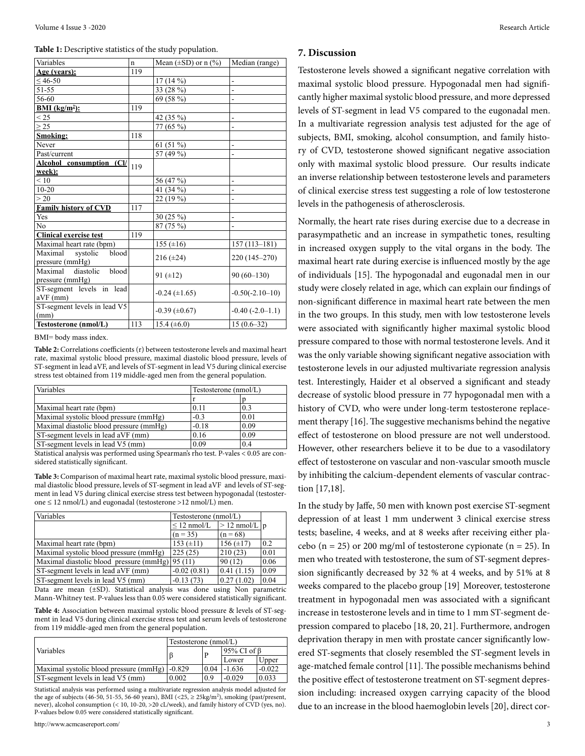#### **Table 1:** Descriptive statistics of the study population.

| Variables                                        | n   | Mean $(\pm SD)$ or n $(\% )$ | Median (range)    |
|--------------------------------------------------|-----|------------------------------|-------------------|
| Age (years):                                     | 119 |                              |                   |
| $< 46-50$                                        |     | $17(14\%)$                   | $\overline{a}$    |
| 51-55                                            |     | 33 (28 %)                    | $\overline{a}$    |
| 56-60                                            |     | 69 (58 %)                    | $\overline{a}$    |
| <b>BMI</b> (kg/m <sup>2</sup> ):                 | 119 |                              |                   |
| < 25                                             |     | 42 (35 %)                    | $\overline{a}$    |
| $\geq$ 25                                        |     | 77 (65 %)                    | ä,                |
| Smoking:                                         | 118 |                              |                   |
| Never                                            |     | 61 $(51\%)$                  | -                 |
| Past/current                                     |     | 57 (49 %)                    | $\overline{a}$    |
| Alcohol consumption (Cl/                         | 119 |                              |                   |
| week):                                           |     |                              |                   |
| < 10                                             |     | 56 (47 %)                    |                   |
| $10 - 20$                                        |     | 41 (34 %)                    |                   |
| > 20                                             |     | 22 (19 %)                    |                   |
| <b>Family history of CVD</b>                     | 117 |                              |                   |
| Yes                                              |     | 30 $(25\%)$                  | $\overline{a}$    |
| No                                               |     | 87 (75 %)                    | $\overline{a}$    |
| <b>Clinical exercise test</b>                    | 119 |                              |                   |
| Maximal heart rate (bpm)                         |     | 155 $(\pm 16)$               | $157(113 - 181)$  |
| Maximal<br>systolic<br>blood<br>pressure (mmHg)  |     | $216 (\pm 24)$               | 220 (145-270)     |
| Maximal<br>diastolic<br>blood<br>pressure (mmHg) |     | 91 $(\pm 12)$                | $90(60-130)$      |
| ST-segment levels in lead<br>aVF (mm)            |     | $-0.24$ ( $\pm 1.65$ )       | $-0.50(-2.10-10)$ |
| ST-segment levels in lead V5<br>(mm)             |     | $-0.39$ ( $\pm 0.67$ )       | $-0.40(-2.0-1.1)$ |
| Testosterone (nmol/L)                            | 113 | 15.4 $(\pm 6.0)$             | $15(0.6-32)$      |

BMI= body mass index.

**Table 2:** Correlations coefficients (r) between testosterone levels and maximal heart rate, maximal systolic blood pressure, maximal diastolic blood pressure, levels of ST-segment in lead aVF, and levels of ST-segment in lead V5 during clinical exercise stress test obtained from 119 middle-aged men from the general population.

| Variables                               | Testosterone (nmol/L) |      |
|-----------------------------------------|-----------------------|------|
|                                         |                       |      |
| Maximal heart rate (bpm)                | 0.11                  | 0.3  |
| Maximal systolic blood pressure (mmHg)  | $-0.3$                | 0.01 |
| Maximal diastolic blood pressure (mmHg) | $-0.18$               | 0.09 |
| ST-segment levels in lead aVF (mm)      | 0.16                  | 0.09 |
| ST-segment levels in lead V5 (mm)       | 0.09                  | 0.4  |

Statistical analysis was performed using Spearman's rho test. P-vales < 0.05 are considered statistically significant.

**Table 3:** Comparison of maximal heart rate, maximal systolic blood pressure, maximal diastolic blood pressure, levels of ST-segment in lead aVF and levels of ST-segment in lead V5 during clinical exercise stress test between hypogonadal (testosterone ≤ 12 nmol/L) and eugonadal (testosterone >12 nmol/L) men.

| Testosterone $(nmol/L)$                          |                           |      |
|--------------------------------------------------|---------------------------|------|
| $\leq$ 12 nmol/L                                 | $> 12 \text{ nmol/L}$   p |      |
| $(n = 35)$                                       | $(n = 68)$                |      |
| 153 $(\pm 11)$                                   | $156 (\pm 17)$            | 0.2  |
| 225(25)                                          | 210(23)                   | 0.01 |
| Maximal diastolic blood pressure $(mmHg)/95(11)$ | 90(12)                    | 0.06 |
| $-0.02(0.81)$                                    | 0.41(1.15)                | 0.09 |
| $-0.13(73)$                                      | 0.27(1.02)                | 0.04 |
|                                                  |                           |      |

Data are mean (±SD). Statistical analysis was done using Non parametric Mann-Whitney test. P-values less than 0.05 were considered statistically significant.

**Table 4:** Association between maximal systolic blood pressure & levels of ST-segment in lead V5 during clinical exercise stress test and serum levels of testosterone from 119 middle-aged men from the general population.

|                                                 | Testosterone (nmol/L) |       |             |          |
|-------------------------------------------------|-----------------------|-------|-------------|----------|
| <i>Variables</i>                                |                       |       | 95% CI of B |          |
|                                                 |                       |       | Lower       | Upper    |
| Maximal systolic blood pressure (mmHg)   -0.829 |                       | 10.04 | $-1.636$    | $-0.022$ |
| ST-segment levels in lead V5 (mm)               | 0.002                 | 0.9   | $-0.029$    | 0.033    |

Statistical analysis was performed using a multivariate regression analysis model adjusted for the age of subjects (46-50, 51-55, 56-60 years), BMI (<25,  $\geq$  25kg/m<sup>2</sup>), smoking (past/present, never), alcohol consumption (< 10, 10-20, >20 cL/week), and family history of CVD (yes, no). P-values below 0.05 were considered statistically significant.

#### **7. Discussion**

Testosterone levels showed a significant negative correlation with maximal systolic blood pressure. Hypogonadal men had significantly higher maximal systolic blood pressure, and more depressed levels of ST-segment in lead V5 compared to the eugonadal men. In a multivariate regression analysis test adjusted for the age of subjects, BMI, smoking, alcohol consumption, and family history of CVD, testosterone showed significant negative association only with maximal systolic blood pressure. Our results indicate an inverse relationship between testosterone levels and parameters of clinical exercise stress test suggesting a role of low testosterone levels in the pathogenesis of atherosclerosis.

Normally, the heart rate rises during exercise due to a decrease in parasympathetic and an increase in sympathetic tones, resulting in increased oxygen supply to the vital organs in the body. The maximal heart rate during exercise is influenced mostly by the age of individuals [15]. The hypogonadal and eugonadal men in our study were closely related in age, which can explain our findings of non-significant difference in maximal heart rate between the men in the two groups. In this study, men with low testosterone levels were associated with significantly higher maximal systolic blood pressure compared to those with normal testosterone levels. And it was the only variable showing significant negative association with testosterone levels in our adjusted multivariate regression analysis test. Interestingly, Haider et al observed a significant and steady decrease of systolic blood pressure in 77 hypogonadal men with a history of CVD, who were under long-term testosterone replacement therapy [16]. The suggestive mechanisms behind the negative effect of testosterone on blood pressure are not well understood. However, other researchers believe it to be due to a vasodilatory effect of testosterone on vascular and non-vascular smooth muscle by inhibiting the calcium-dependent elements of vascular contraction [17,18].

In the study by Jaffe, 50 men with known post exercise ST-segment depression of at least 1 mm underwent 3 clinical exercise stress tests; baseline, 4 weeks, and at 8 weeks after receiving either placebo ( $n = 25$ ) or 200 mg/ml of testosterone cypionate ( $n = 25$ ). In men who treated with testosterone, the sum of ST-segment depression significantly decreased by 32 % at 4 weeks, and by 51% at 8 weeks compared to the placebo group [19]. Moreover, testosterone treatment in hypogonadal men was associated with a significant increase in testosterone levels and in time to 1 mm ST-segment depression compared to placebo [18, 20, 21]. Furthermore, androgen deprivation therapy in men with prostate cancer significantly lowered ST-segments that closely resembled the ST-segment levels in age-matched female control [11]. The possible mechanisms behind the positive effect of testosterone treatment on ST-segment depression including: increased oxygen carrying capacity of the blood due to an increase in the blood haemoglobin levels [20], direct cor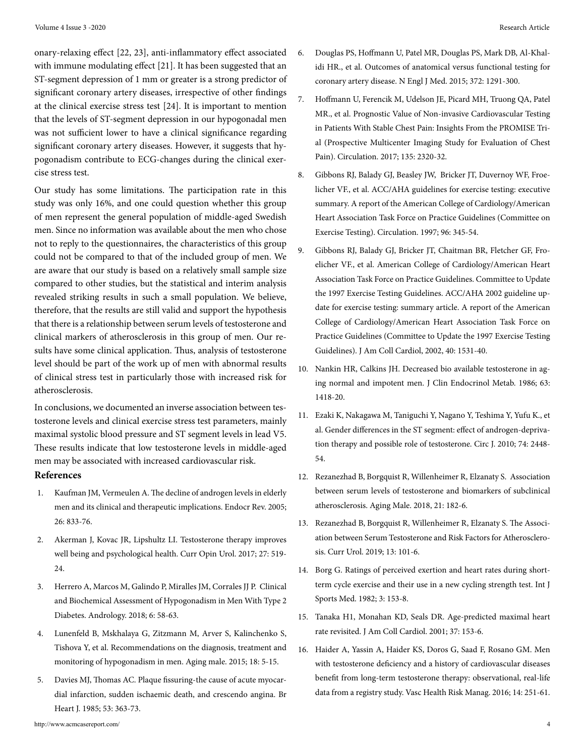onary-relaxing effect [22, 23], anti-inflammatory effect associated with immune modulating effect [21]. It has been suggested that an ST-segment depression of 1 mm or greater is a strong predictor of significant coronary artery diseases, irrespective of other findings at the clinical exercise stress test [24]. It is important to mention that the levels of ST-segment depression in our hypogonadal men was not sufficient lower to have a clinical significance regarding significant coronary artery diseases. However, it suggests that hypogonadism contribute to ECG-changes during the clinical exercise stress test.

Our study has some limitations. The participation rate in this study was only 16%, and one could question whether this group of men represent the general population of middle-aged Swedish men. Since no information was available about the men who chose not to reply to the questionnaires, the characteristics of this group could not be compared to that of the included group of men. We are aware that our study is based on a relatively small sample size compared to other studies, but the statistical and interim analysis revealed striking results in such a small population. We believe, therefore, that the results are still valid and support the hypothesis that there is a relationship between serum levels of testosterone and clinical markers of atherosclerosis in this group of men. Our results have some clinical application. Thus, analysis of testosterone level should be part of the work up of men with abnormal results of clinical stress test in particularly those with increased risk for atherosclerosis.

In conclusions, we documented an inverse association between testosterone levels and clinical exercise stress test parameters, mainly maximal systolic blood pressure and ST segment levels in lead V5. These results indicate that low testosterone levels in middle-aged men may be associated with increased cardiovascular risk.  **References**

- 1. [Kaufman JM, Vermeulen A. The decline of androgen levels in elderly](https://pubmed.ncbi.nlm.nih.gov/15901667/) [men and its clinical and therapeutic implications. Endocr Rev. 2005;](https://pubmed.ncbi.nlm.nih.gov/15901667/)  [26: 833-76.](https://pubmed.ncbi.nlm.nih.gov/15901667/)
- 2. [Akerman J, Kovac JR, Lipshultz LI. Testosterone therapy improves](https://pubmed.ncbi.nlm.nih.gov/28795962/) [well being and psychological health. Curr Opin Urol. 2017; 27: 519-](https://pubmed.ncbi.nlm.nih.gov/28795962/) [24.](https://pubmed.ncbi.nlm.nih.gov/28795962/)
- 3. Herrero A, Marcos M, Galindo P, Miralles JM, Corrales JJ P. Clinical and Biochemical Assessment of Hypogonadism in Men With Type 2 Diabetes. Andrology. 2018; 6: 58-63.
- 4. [Lunenfeld B, Mskhalaya G, Zitzmann M, Arver S, Kalinchenko S,](https://pubmed.ncbi.nlm.nih.gov/25657080/)  [Tishova Y, et al. Recommendations on the diagnosis, treatment and](https://pubmed.ncbi.nlm.nih.gov/25657080/) [monitoring of hypogonadism in men. Aging male. 2015; 18: 5-15.](https://pubmed.ncbi.nlm.nih.gov/25657080/)
- 5. [Davies MJ, Thomas AC. Plaque fissuring-the cause of acute myocar](https://www.ncbi.nlm.nih.gov/pmc/articles/PMC481773/)[dial infarction, sudden ischaemic death, and crescendo angina. Br](https://www.ncbi.nlm.nih.gov/pmc/articles/PMC481773/) [Heart J. 1985; 53: 363-73.](https://www.ncbi.nlm.nih.gov/pmc/articles/PMC481773/)
- 6. [Douglas PS, Hoffmann U, Patel MR, Douglas PS, Mark DB, Al-Khal](https://pubmed.ncbi.nlm.nih.gov/25773919/)[idi HR., et al. Outcomes of anatomical versus functional testing for](https://pubmed.ncbi.nlm.nih.gov/25773919/) [coronary artery disease. N Engl J Med. 2015; 372: 1291-300.](https://pubmed.ncbi.nlm.nih.gov/25773919/)
- 7. [Hoffmann U, Ferencik M, Udelson JE, Picard MH, Truong QA, Patel](https://pubmed.ncbi.nlm.nih.gov/28389572/) [MR., et al. Prognostic Value of Non-invasive Cardiovascular Testing](https://pubmed.ncbi.nlm.nih.gov/28389572/) [in Patients With Stable Chest Pain: Insights From the PROMISE Tri](https://pubmed.ncbi.nlm.nih.gov/28389572/)[al \(Prospective Multicenter Imaging Study for Evaluation of Chest](https://pubmed.ncbi.nlm.nih.gov/28389572/)  [Pain\). Circulation. 2017; 135: 2320-32.](https://pubmed.ncbi.nlm.nih.gov/28389572/)
- 8. [Gibbons RJ, Balady GJ, Beasley JW, Bricker JT, Duvernoy WF, Froe](https://pubmed.ncbi.nlm.nih.gov/9236456/)[licher VF., et al. ACC/AHA guidelines for exercise testing: executive](https://pubmed.ncbi.nlm.nih.gov/9236456/)  [summary. A report of the American College of Cardiology/American](https://pubmed.ncbi.nlm.nih.gov/9236456/)  [Heart Association Task Force on Practice Guidelines \(Committee on](https://pubmed.ncbi.nlm.nih.gov/9236456/)  [Exercise Testing\). Circulation. 1997; 96: 345-54.](https://pubmed.ncbi.nlm.nih.gov/9236456/)
- 9. [Gibbons RJ, Balady GJ, Bricker JT, Chaitman BR, Fletcher GF, Fro](https://pubmed.ncbi.nlm.nih.gov/12392846/)[elicher VF., et al. American College of Cardiology/American Heart](https://pubmed.ncbi.nlm.nih.gov/12392846/)  [Association Task Force on Practice Guidelines. Committee to Update](https://pubmed.ncbi.nlm.nih.gov/12392846/)  [the 1997 Exercise Testing Guidelines. ACC/AHA 2002 guideline up](https://pubmed.ncbi.nlm.nih.gov/12392846/)[date for exercise testing: summary article. A report of the American](https://pubmed.ncbi.nlm.nih.gov/12392846/)  [College of Cardiology/American Heart Association Task Force on](https://pubmed.ncbi.nlm.nih.gov/12392846/)  [Practice Guidelines \(Committee to Update the 1997 Exercise Testing](https://pubmed.ncbi.nlm.nih.gov/12392846/) [Guidelines\). J Am Coll Cardiol, 2002, 40: 1531-40.](https://pubmed.ncbi.nlm.nih.gov/12392846/)
- 10. [Nankin HR, Calkins JH. Decreased bio available testosterone in ag](https://pubmed.ncbi.nlm.nih.gov/3782425/)[ing normal and impotent men. J Clin Endocrinol Metab. 1986; 63:](https://pubmed.ncbi.nlm.nih.gov/3782425/) [1418-20.](https://pubmed.ncbi.nlm.nih.gov/3782425/)
- 11. [Ezaki K, Nakagawa M, Taniguchi Y, Nagano Y, Teshima Y, Yufu K., et](https://pubmed.ncbi.nlm.nih.gov/20834186/)  [al. Gender differences in the ST segment: effect of androgen-depriva](https://pubmed.ncbi.nlm.nih.gov/20834186/)[tion therapy and possible role of testosterone. Circ J. 2010; 74: 2448-](https://pubmed.ncbi.nlm.nih.gov/20834186/) [54.](https://pubmed.ncbi.nlm.nih.gov/20834186/)
- 12. [Rezanezhad B, Borgquist R, Willenheimer R, Elzanaty S. Association](https://www.researchgate.net/publication/322023625_Association_between_serum_levels_of_testosterone_and_biomarkers_of_subclinical_atherosclerosis) [between serum levels of testosterone and biomarkers of subclinical](https://www.researchgate.net/publication/322023625_Association_between_serum_levels_of_testosterone_and_biomarkers_of_subclinical_atherosclerosis)  [atherosclerosis. Aging Male. 2018, 21: 182-6.](https://www.researchgate.net/publication/322023625_Association_between_serum_levels_of_testosterone_and_biomarkers_of_subclinical_atherosclerosis)
- 13. [Rezanezhad B, Borgquist R, Willenheimer R, Elzanaty S. The Associ](https://pubmed.ncbi.nlm.nih.gov/31768177/)[ation between Serum Testosterone and Risk Factors for Atherosclero](https://pubmed.ncbi.nlm.nih.gov/31768177/)[sis. Curr Urol. 2019; 13: 101-6.](https://pubmed.ncbi.nlm.nih.gov/31768177/)
- 14. [Borg G. Ratings of perceived exertion and heart rates during short](file:///C:\Users\User\Documents\CStudy3.csv)[term cycle exercise and their use in a new cycling strength test. Int J](file:///C:\Users\User\Documents\CStudy3.csv)  [Sports Med. 1982; 3: 153-8.](file:///C:\Users\User\Documents\CStudy3.csv)
- 15. [Tanaka H1, Monahan KD, Seals DR. Age-predicted maximal heart](https://pubmed.ncbi.nlm.nih.gov/11153730/) [rate revisited. J Am Coll Cardiol. 2001; 37: 153-6.](https://pubmed.ncbi.nlm.nih.gov/11153730/)
- 16. [Haider A, Yassin A, Haider KS, Doros G, Saad F, Rosano GM. Men](https://pubmed.ncbi.nlm.nih.gov/27366080/) [with testosterone deficiency and a history of cardiovascular diseases](https://pubmed.ncbi.nlm.nih.gov/27366080/) [benefit from long-term testosterone therapy: observational, real-life](https://pubmed.ncbi.nlm.nih.gov/27366080/)  [data from a registry study. Vasc Health Risk Manag. 2016; 14: 251-61.](https://pubmed.ncbi.nlm.nih.gov/27366080/)